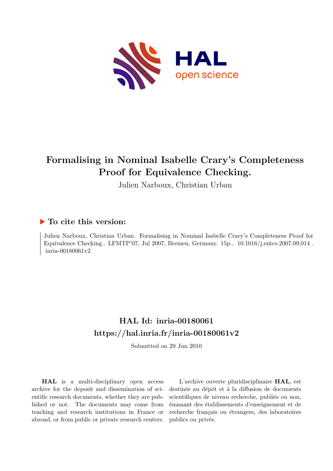

# **Formalising in Nominal Isabelle Crary's Completeness Proof for Equivalence Checking.**

Julien Narboux, Christian Urban

# **To cite this version:**

Julien Narboux, Christian Urban. Formalising in Nominal Isabelle Crary's Completeness Proof for Equivalence Checking.. LFMTP'07, Jul 2007, Bremen, Germany.  $15p.$ ,  $10.1016/j.$ entcs.2007.09.014. inria-00180061v2

# **HAL Id: inria-00180061 <https://hal.inria.fr/inria-00180061v2>**

Submitted on 29 Jun 2010

**HAL** is a multi-disciplinary open access archive for the deposit and dissemination of scientific research documents, whether they are published or not. The documents may come from teaching and research institutions in France or abroad, or from public or private research centers.

L'archive ouverte pluridisciplinaire **HAL**, est destinée au dépôt et à la diffusion de documents scientifiques de niveau recherche, publiés ou non, émanant des établissements d'enseignement et de recherche français ou étrangers, des laboratoires publics ou privés.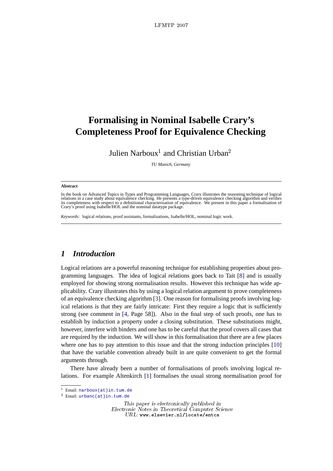# **Formalising in Nominal Isabelle Crary's Completeness Proof for Equivalence Checking**

Julien Narboux<sup>1</sup> and Christian Urban<sup>2</sup>

*TU Munich, Germany*

#### **Abstract**

In the book on Advanced Topics in Types and Programming Languages, Crary illustrates the reasoning technique of logical relations in a case study about equivalence checking. He presents a type-driven equivalence checking algorithm and verifies<br>its completeness with respect to a definitional characterisation of equivalence. We present in thi Crary's proof using Isabelle/HOL and the nominal datatype package.

*Keywords:* logical relations, proof assistants, formalisations, Isabelle/HOL, nominal logic work.

# *1 Introduction*

Logical relations are a powerful reasoning technique for establishing properties about programming languages. The idea of logical relations goes back to Tait [8] and is usually employed for showing strong normalisation results. However this technique has wide applicability. Crary illustrates this by using a logical relation argument to prove completeness of an equivalence checking algorithm [3]. One reason for formalising proofs involving logical relations is that they are fairly intricate: First they require a logic that is sufficiently strong (see comment in [4, Page 58]). Also in the final step of such proofs, one has to establish by induction a property under a closing substitution. These substitutions might, however, interfere with binders and one has to be careful that the proof covers all cases that are required by the induction. We will show in this formalisation that there are a few places where one has to pay attention to this issue and that the strong induction principles [10] that have the variable convention already built in are quite convenient to get the formal arguments through.

There have already been a number of formalisations of proofs involving logical relations. For example Altenkirch [1] formalises the usual strong normalisation proof for

This paper is electronically published in Electronic Notes in Theoretical Computer Science URL: www.elsevier.nl/locate/entcs

<sup>1</sup> Email: [narboux\(at\)in.tum.de](mailto:narboux(at)in.tum.de)

<sup>2</sup> Email: [urbanc\(at\)in.tum.de](mailto:urbanc(at)in.tum.de)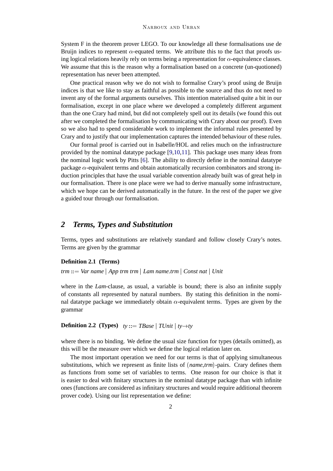System F in the theorem prover LEGO. To our knowledge all these formalisations use de Bruijn indices to represent  $\alpha$ -equated terms. We attribute this to the fact that proofs using logical relations heavily rely on terms being a representation for  $\alpha$ -equivalence classes. We assume that this is the reason why a formalisation based on a concrete (un-quotioned) representation has never been attempted.

One practical reason why we do not wish to formalise Crary's proof using de Bruijn indices is that we like to stay as faithful as possible to the source and thus do not need to invent any of the formal arguments ourselves. This intention materialised quite a bit in our formalisation, except in one place where we developed a completely different argument than the one Crary had mind, but did not completely spell out its details (we found this out after we completed the formalisation by communicating with Crary about our proof). Even so we also had to spend considerable work to implement the informal rules presented by Crary and to justify that our implementation captures the intended behaviour of these rules.

Our formal proof is carried out in Isabelle/HOL and relies much on the infrastructure provided by the nominal datatype package [9,10,11]. This package uses many ideas from the nominal logic work by Pitts [6]. The ability to directly define in the nominal datatype package  $\alpha$ -equivalent terms and obtain automatically recursion combinators and strong induction principles that have the usual variable convention already built was of great help in our formalisation. There is one place were we had to derive manually some infrastructure, which we hope can be derived automatically in the future. In the rest of the paper we give a guided tour through our formalisation.

## *2 Terms, Types and Substitution*

Terms, types and substitutions are relatively standard and follow closely Crary's notes. Terms are given by the grammar

## **Definition 2.1 (Terms)**

*trm* ::= *Var name* j *App trm trm* j *Lam name.trm* j *Const nat* j *Unit*

where in the *Lam*-clause, as usual, a variable is bound; there is also an infinite supply of constants all represented by natural numbers. By stating this definition in the nominal datatype package we immediately obtain  $\alpha$ -equivalent terms. Types are given by the grammar

## **Definition 2.2 (Types)**  $ty ::= \text{TRase} \mid \text{TDnit} \mid \text{ty} \rightarrow \text{ty}$

where there is no binding. We define the usual size function for types (details omitted), as this will be the measure over which we define the logical relation later on.

The most important operation we need for our terms is that of applying simultaneous substitutions, which we represent as finite lists of (*name*;*trm*)-pairs. Crary defines them as functions from some set of variables to terms. One reason for our choice is that it is easier to deal with finitary structures in the nominal datatype package than with infinite ones (functions are considered as infinitary structures and would require additional theorem prover code). Using our list representation we define: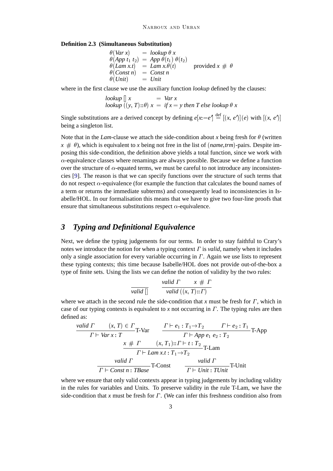#### **Definition 2.3 (Simultaneous Substitution)**

$$
\begin{array}{ll}\n\theta(Var \, x) & = \text{lookup } \theta \, x \\
\theta(App \, t_1 \, t_2) & = App \, \theta(t_1) \, \theta(t_2) \\
\theta(Lam \, xt) & = \text{Lam } x \, \theta(t) \\
\theta(Const \, n) & = \text{Const } n \\
\theta(Unit) & = \text{Unit}\n\end{array}\n\quad \text{provided } x \# \, \theta
$$

where in the first clause we use the auxiliary function *lookup* defined by the clauses:

$$
lookup [] x = Var x
$$
  

$$
lookup ((y, T) :: \theta) x = if x = y then T else lookup \theta x
$$

Single substitutions are a derived concept by defining  $e[x := e'] \stackrel{\text{def}}{=} [(x, e')](e)$  with  $[(x, e')]$ being a singleton list.

Note that in the *Lam*-clause we attach the side-condition about *x* being fresh for  $\theta$  (written  $x \neq \theta$ , which is equivalent to *x* being not free in the list of (*name,trm*)-pairs. Despite imposing this side-condition, the definition above yields a total function, since we work with  $\alpha$ -equivalence classes where renamings are always possible. Because we define a function over the structure of  $\alpha$ -equated terms, we must be careful to not introduce any inconsistencies [9]. The reason is that we can specify functions over the structure of such terms that do not respect  $\alpha$ -equivalence (for example the function that calculates the bound names of a term or returns the immediate subterms) and consequently lead to inconsistencies in Isabelle/HOL. In our formalisation this means that we have to give two four-line proofs that ensure that simultaneous substitutions respect  $\alpha$ -equivalence.

## *3 Typing and Definitional Equivalence*

Next, we define the typing judgements for our terms. In order to stay faithful to Crary's notes we introduce the notion for when a typing context  $\Gamma$  is *valid*, namely when it includes only a single association for every variable occurring in  $\Gamma$ . Again we use lists to represent these typing contexts; this time because Isabelle/HOL does not provide out-of-the-box a type of finite sets. Using the lists we can define the notion of validity by the two rules:

$$
\frac{\text{valid } \Gamma}{\text{valid } []} \qquad \frac{\text{valid } \Gamma}{\text{valid } ((x, T) :: \Gamma)}
$$

where we attach in the second rule the side-condition that  $x$  must be fresh for  $\Gamma$ , which in case of our typing contexts is equivalent to *x* not occurring in  $\Gamma$ . The typing rules are then defined as:

$$
\begin{array}{cc}\n\text{valid } \Gamma & (x, T) \in \Gamma \\
\hline\nT \vdash \text{Var } x : T\n\end{array}\n\quad\n\begin{array}{cc}\n\Gamma \vdash e_1 : T_1 \rightarrow T_2 & \Gamma \vdash e_2 : T_1 \\
\hline\nT \vdash \text{App } e_1 \ e_2 : T_2\n\end{array}\n\quad\n\begin{array}{cc}\n\text{T} \vdash q_1 : T_1 \rightarrow T_2 & \Gamma \vdash e_2 : T_1 \\
\hline\n\Gamma \vdash \text{Lam } x.t : T_1 \rightarrow T_2 & \text{T-Lam} \\
\hline\n\end{array}
$$
\n
$$
\begin{array}{cc}\n\text{valid } \Gamma & \text{valid } \Gamma \\
\hline\n\Gamma \vdash \text{Const } n : \text{TBase}\n\end{array}\n\quad\n\begin{array}{cc}\n\text{valid } \Gamma & \text{valid } \Gamma \\
\hline\n\Gamma \vdash \text{Unit} : \text{TUnit}\n\end{array}
$$

where we ensure that only valid contexts appear in typing judgements by including validity in the rules for variables and Units. To preserve validity in the rule T-Lam, we have the side-condition that x must be fresh for  $\Gamma$ . (We can infer this freshness condition also from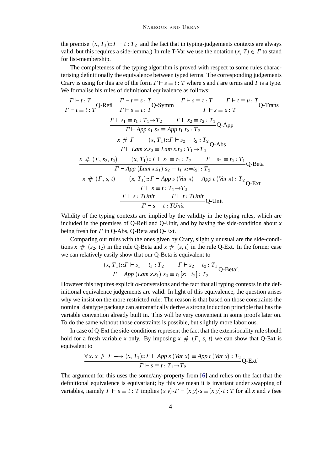the premise  $(x, T_1)$ ::  $\Gamma \vdash t : T_2$  and the fact that in typing-judgements contexts are always valid, but this requires a side-lemma.) In rule T-Var we use the notation  $(x, T) \in \Gamma$  to stand for list-membership.

The completeness of the typing algorithm is proved with respect to some rules characterising definitionally the equivalence between typed terms. The corresponding judgements Crary is using for this are of the form  $\Gamma \vdash s \equiv t : T$  where *s* and *t* are terms and *T* is a type. We formalise his rules of definitional equivalence as follows:

$$
\frac{\Gamma \vdash t : T}{\Gamma \vdash t \equiv t : T} Q \text{-Refl} \quad \frac{\Gamma \vdash t \equiv s : T}{\Gamma \vdash s \equiv t : T} Q \text{-Symm} \quad \frac{\Gamma \vdash s \equiv t : T \quad \Gamma \vdash t \equiv u : T}{\Gamma \vdash s \equiv u : T} Q \text{-Trans}
$$
\n
$$
\frac{\Gamma \vdash s_1 \equiv t_1 : T_1 \to T_2 \quad \Gamma \vdash s_2 \equiv t_2 : T_1}{\Gamma \vdash App \ s_1 \ s_2 \equiv App \ t_1 \ t_2 : T_2} Q \text{-App}
$$
\n
$$
\frac{x \# \Gamma}{\Gamma \vdash Lam \ x.s_2} \equiv Lam \ x.t_2 : T_1 \to T_2
$$
\n
$$
\frac{x \# (\Gamma, s_2, t_2) \quad (x, T_1) :: \Gamma \vdash s_1 \equiv t_1 : T_2 \quad \Gamma \vdash s_2 \equiv t_2 : T_1}{\Gamma \vdash App \ (Lam \ x.s_1) \ s_2 \equiv t_1 [x := t_2] : T_2} Q \text{-Beta}
$$
\n
$$
\frac{x \# (\Gamma, s, t) \quad (x, T_1) :: \Gamma \vdash App \ s \ (Var \ x) \equiv App \ t \ (Var \ x) : T_2}{\Gamma \vdash s \equiv t : T_1 \to T_2} Q \text{-Ext}
$$
\n
$$
\frac{\Gamma \vdash s \equiv t : T_1 \to T_2}{\Gamma \vdash s \equiv t : T_1 \to T_2} Q \text{-Ent}
$$

Validity of the typing contexts are implied by the validity in the typing rules, which are included in the premises of Q-Refl and Q-Unit, and by having the side-condition about  $x$ being fresh for  $\Gamma$  in Q-Abs, Q-Beta and Q-Ext.

Comparing our rules with the ones given by Crary, slightly unusual are the side-conditions  $x \neq (s_2, t_2)$  in the rule Q-Beta and  $x \neq (s, t)$  in the rule Q-Ext. In the former case we can relatively easily show that our Q-Beta is equivalent to

$$
\frac{(x, T_1): T \vdash s_1 \equiv t_1 : T_2 \qquad T \vdash s_2 \equiv t_2 : T_1}{\Gamma \vdash App \ (Lam \ x.s_1) \ s_2 \equiv t_1[x:=t_2] : T_2} \text{Q-Beta'}.
$$

However this requires explicit  $\alpha$ -conversions and the fact that all typing contexts in the definitional equivalence judgements are valid. In light of this equivalence, the question arises why we insist on the more restricted rule: The reason is that based on those constraints the nominal datatype package can automatically derive a strong induction principle that has the variable convention already built in. This will be very convenient in some proofs later on. To do the same without those constraints is possible, but slightly more laborious.

In case of Q-Ext the side-conditions represent the fact that the extensionality rule should hold for a fresh variable x only. By imposing  $x \neq (r, s, t)$  we can show that Q-Ext is equivalent to

$$
\frac{\forall x. x \# \Gamma \longrightarrow (x, T_1):: \Gamma \vdash App \ s \ (Var \ x) \equiv App \ t \ (Var \ x) : T_2}{\Gamma \vdash s \equiv t : T_1 \rightarrow T_2} Q\text{-Ext'}
$$

The argument for this uses the some/any-property from [6] and relies on the fact that the definitional equivalence is equivariant; by this we mean it is invariant under swapping of variables, namely  $\Gamma \vdash s \equiv t : T$  implies  $(x y) \cdot \Gamma \vdash (x y) \cdot s \equiv (x y) \cdot t : T$  for all *x* and *y* (see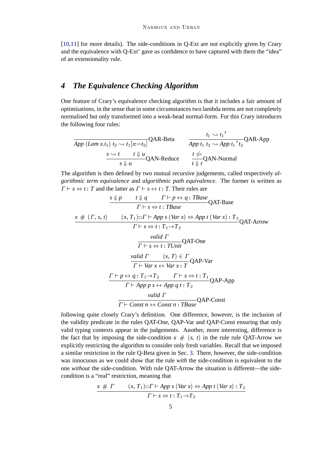[10,11] for more details). The side-conditions in Q-Ext are not explicitly given by Crary and the equivalence with Q-Ext' gave us confidence to have captured with them the "idea" of an extensionality rule.

# *4 The Equivalence Checking Algorithm*

One feature of Crary's equivalence checking algorithm is that it includes a fair amount of optimisations, in the sense that in some circumstances two lambda terms are not completely normalised but only transformed into a weak-head normal-form. For this Crary introduces the following four rules:

$$
\frac{t_1 \rightsquigarrow t_1'}{App (Lam x.t_1) t_2 \rightsquigarrow t_1 [x:=t_2]} \text{QAR-Beta}
$$
\n
$$
\frac{t_1 \rightsquigarrow t_1'}{App t_1 t_2 \rightsquigarrow App t_1' t_2} \text{QAR-App}
$$
\n
$$
\frac{s \rightsquigarrow t \quad t \Downarrow u}{s \Downarrow u} \text{QAN-Reduce}
$$
\n
$$
\frac{t \nleftrightarrow}{t \Downarrow t} \text{QAN-Normal}
$$

The algorithm is then defined by two mutual recursive judgements, called respectively *algorithmic term equivalence* and *algorithmic path equivalence*. The former is written as  $\Gamma \vdash s \Leftrightarrow t : T$  and the latter as  $\Gamma \vdash s \leftrightarrow t : T$ . Their rules are

$$
\frac{s \downarrow p \qquad t \downarrow q \qquad \Gamma \vdash p \leftrightarrow q : TBase}{\Gamma \vdash s \Leftrightarrow t : TBase} \text{QAT-Base}
$$
\n
$$
\frac{x \# (r, s, t) \qquad (x, T_1) :: \Gamma \vdash App \ s \ (Var \ x) \Leftrightarrow App \ t \ (Var \ x) : T_2}{\Gamma \vdash s \Leftrightarrow t : T_1 \rightarrow T_2} \text{valid } \Gamma
$$
\n
$$
\frac{valid \ \Gamma}{\Gamma \vdash s \Leftrightarrow t : TUnit} \text{QAT-One}
$$
\n
$$
\frac{valid \ \Gamma}{\Gamma \vdash Var \ x \leftrightarrow Var \ x : T} \text{QAP-Var}
$$
\n
$$
\frac{\Gamma \vdash p \leftrightarrow q : T_1 \rightarrow T_2 \qquad \Gamma \vdash s \Leftrightarrow t : T_1}{\Gamma \vdash App \ p \ s \leftrightarrow App \ q \ t : T_2} \text{QAP-App}
$$
\n
$$
\frac{valid \ \Gamma}{\Gamma \vdash Comp \ \gamma \ s \leftrightarrow App \ q \ t : T_2} \text{QAP-Const}
$$

following quite closely Crary's definition. One difference, however, is the inclusion of the validity predicate in the rules QAT-One, QAP-Var and QAP-Const ensuring that only valid typing contexts appear in the judgements. Another, more interesting, difference is the fact that by imposing the side-condition  $x \neq (s, t)$  in the rule rule QAT-Arrow we explicitly restricting the algorithm to consider only fresh variables. Recall that we imposed a similar restriction in the rule Q-Beta given in Sec. 3. There, however, the side-condition was innocuous as we could show that the rule *with* the side-condition is equivalent to the one *without* the side-condition. With rule QAT-Arrow the situation is different—the sidecondition is a "real" restriction, meaning that

$$
\frac{x \# \Gamma}{\Gamma \vdash (x, T_1) :: \Gamma \vdash App \ s \ (Var \ x) \Leftrightarrow App \ t \ (Var \ x) :: T_2}{\Gamma \vdash s \Leftrightarrow t :: T_1 \rightarrow T_2}
$$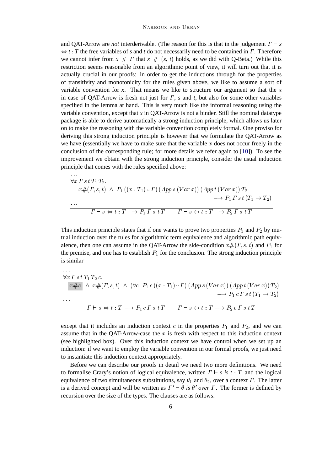and QAT-Arrow are *not* interderivable. (The reason for this is that in the judgement  $\Gamma \vdash s$  $\Leftrightarrow$  *t* : *T* the free variables of *s* and *t* do not necessarily need to be contained in *Γ*. Therefore we cannot infer from  $x \# T$  that  $x \# (s, t)$  holds, as we did with O-Beta.) While this restriction seems reasonable from an algorithmic point of view, it will turn out that it is actually crucial in our proofs: in order to get the inductions through for the properties of transitivity and monotonicity for the rules given above, we like to assume a sort of variable convention for  $x$ . That means we like to structure our argument so that the  $x$ in case of QAT-Arrow is fresh not just for  $\Gamma$ ,  $s$  and  $t$ , but also for some other variables specified in the lemma at hand. This is very much like the informal reasoning using the variable convention, except that *x* in QAT-Arrow is not a binder. Still the nominal datatype package is able to derive automatically a strong induction principle, which allows us later on to make the reasoning with the variable convention completely formal. One proviso for deriving this strong induction principle is however that we formulate the QAT-Arrow as we have (essentially we have to make sure that the variable  $x$  does not occur freely in the conclusion of the corresponding rule; for more details we refer again to [10]). To see the improvement we obtain with the strong induction principle, consider the usual induction principle that comes with the rules specified above:

$$
\forall x \Gamma \, s \, t \, T_1 \, T_2.
$$
\n
$$
x \#(\Gamma, s, t) \ \land \ P_1 \left( (x : T_1) :: \Gamma \right) (App \, s \, (Var \, x)) \, (App \, t \, (Var \, x)) \, T_2 \longrightarrow P_1 \, \Gamma \, s \, t \, (T_1 \to T_2)
$$
\n
$$
\cdots
$$
\n
$$
\Gamma \vdash s \Leftrightarrow t : T \longrightarrow P_1 \, \Gamma \, s \, t \, T \qquad \Gamma \vdash s \leftrightarrow t : T \longrightarrow P_2 \, \Gamma \, s \, t \, T
$$

This induction principle states that if one wants to prove two properties  $P_1$  and  $P_2$  by mutual induction over the rules for algorithmic term equivalence and algorithmic path equivalence, then one can assume in the QAT-Arrow the side-condition  $x \#(r, s, t)$  and  $P_1$  for the premise, and one has to establish  $P_1$  for the conclusion. The strong induction principle is similar

$$
\forall x \Gamma \ s \ t \ T_1 \ T_2 \ c.
$$
\n
$$
x \#c \ \land \ x \#(\Gamma, s, t) \ \land \ (\forall c. \ P_1 \ c \ ((x : T_1) :: \Gamma) \ (App \ s \ (Var \ x)) \ (App \ t \ (Var \ x)) \ T_2)
$$
\n
$$
\longrightarrow P_1 \ c \ \Gamma \ s \ t \ (T_1 \rightarrow T_2)
$$
\n
$$
\cdots
$$
\n
$$
\Gamma \vdash s \Leftrightarrow t : T \longrightarrow P_1 \ c \ \Gamma \ s \ t \ T \qquad \Gamma \vdash s \leftrightarrow t : T \longrightarrow P_2 \ c \ \Gamma \ s \ t \ T
$$

except that it includes an induction context c in the properties  $P_1$  and  $P_2$ , and we can assume that in the QAT-Arrow-case the  $x$  is fresh with respect to this induction context (see highlighted box). Over this induction context we have control when we set up an induction: if we want to employ the variable convention in our formal proofs, we just need to instantiate this induction context appropriately.

Before we can describe our proofs in detail we need two more definitions. We need to formalise Crary's notion of logical equivalence, written  $\Gamma \vdash s$  is  $t : T$ , and the logical equivalence of two simultaneous substitutions, say  $\theta_1$  and  $\theta_2$ , over a context  $\Gamma$ . The latter is a derived concept and will be written as  $\Gamma' \vdash \theta$  is  $\theta'$  over  $\Gamma$ . The former is defined by recursion over the size of the types. The clauses are as follows: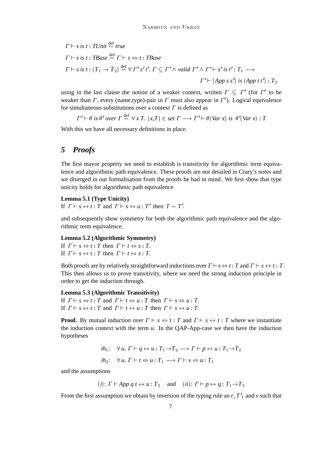$$
\Gamma \vdash s \text{ is } t : \text{TDnit} \stackrel{\text{def}}{=} \text{true}
$$
\n
$$
\Gamma \vdash s \text{ is } t : \text{TBase} \stackrel{\text{def}}{=} \Gamma \vdash s \Leftrightarrow t : \text{TBase}
$$
\n
$$
\Gamma \vdash s \text{ is } t : (T_1 \to T_2) \stackrel{\text{def}}{=} \forall \Gamma' s' \, t'. \, \Gamma \subseteq \Gamma' \land \text{valid } \Gamma' \land \Gamma' \vdash s' \text{ is } t' : T_1 \longrightarrow
$$
\n
$$
\Gamma' \vdash (App \, s \, s') \text{ is } (App \, t \, t') : T_2
$$

using in the last clause the notion of a weaker context, written  $\Gamma \subseteq \Gamma'$  (for  $\Gamma'$  to be weaker than  $\Gamma$ , every (name,type)-pair in  $\Gamma$  must also appear in  $\Gamma'$ ). Logical equivalence for simultaneous substitutions over a context  $\Gamma$  is defined as

 $\Gamma' \vdash \theta$  is  $\theta'$  over  $\Gamma \stackrel{\text{def}}{=} \forall x \ T$ .  $(x,T) \in \text{set } \Gamma \longrightarrow \Gamma' \vdash \theta(\text{Var } x)$  is  $\theta'(\text{Var } x) : T$ 

With this we have all necessary definitions in place.

# *5 Proofs*

The first mayor property we need to establish is transitivity for algorithmic term equivalence and algorithmic path equivalence. These proofs are not detailed in Crary's notes and we diverged in our formalisation from the proofs he had in mind. We first show that type unicity holds for algorithmic path equivalence

#### **Lemma 5.1 (Type Unicity)**

If  $\Gamma \vdash s \leftrightarrow t : T$  and  $\Gamma \vdash s \leftrightarrow u : T'$  then  $T = T'$ .

and subsequently show symmetry for both the algorithmic path equivalence and the algorithmic term equivalence.

#### **Lemma 5.2 (Algorithmic Symmetry)**

If  $\Gamma \vdash s \Leftrightarrow t : T$  then  $\Gamma \vdash t \Leftrightarrow s : T$ . If  $\Gamma \vdash s \leftrightarrow t : T$  then  $\Gamma \vdash t \leftrightarrow s : T$ .

Both proofs are by relatively straightforward inductions over  $\Gamma \vdash s \Leftrightarrow t : T$  and  $\Gamma \vdash s \leftrightarrow t : T$ . This then allows us to prove transitivity, where we need the strong induction principle in order to get the induction through.

#### **Lemma 5.3 (Algorithmic Transitivity)**

If  $\Gamma \vdash s \Leftrightarrow t : T$  and  $\Gamma \vdash t \Leftrightarrow u : T$  then  $\Gamma \vdash s \Leftrightarrow u : T$ . If  $\Gamma \vdash s \leftrightarrow t : T$  and  $\Gamma \vdash t \leftrightarrow u : T$  then  $\Gamma \vdash s \leftrightarrow u : T$ .

**Proof.** By mutual induction over  $\Gamma \vdash s \Leftrightarrow t : T$  and  $\Gamma \vdash s \leftrightarrow t : T$  where we instantiate the induction context with the term *u*. In the QAP-App-case we then have the induction hypotheses

$$
ih_1: \forall u. \ \Gamma \vdash q \leftrightarrow u: T_1 \rightarrow T_2 \rightarrow \Gamma \vdash p \leftrightarrow u: T_1 \rightarrow T_2
$$
  

$$
ih_2: \forall u. \ \Gamma \vdash t \Leftrightarrow u: T_1 \rightarrow \Gamma \vdash s \Leftrightarrow u: T_1
$$

and the assumptions

(*i*):  $\Gamma \vdash App \ q \ t \leftrightarrow u : T_2$  and (*ii*):  $\Gamma \vdash p \leftrightarrow q : T_1 \rightarrow T_2$ 

From the first assumption we obtain by inversion of the typing rule an  $r$ ,  $T'_{1}$  and  $\nu$  such that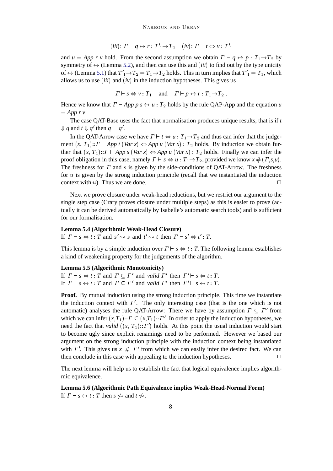$$
(iii): \Gamma \vdash q \leftrightarrow r : T'_{1} \to T_{2} \quad (iv): \Gamma \vdash t \Leftrightarrow v : T'_{1}
$$

and  $u = App \ r \ v$  hold. From the second assumption we obtain  $\Gamma \vdash q \leftrightarrow p : T_1 \rightarrow T_2$  by symmetry of  $\leftrightarrow$  (Lemma 5.2), and then can use this and *(iii)* to find out by the type unicity of  $\leftrightarrow$  (Lemma 5.1) that  $T'_{1} \rightarrow T_{2} = T_{1} \rightarrow T_{2}$  holds. This in turn implies that  $T'_{1} = T_{1}$ , which allows us to use (*iii*) and (*iv*) in the induction hypotheses. This gives us

$$
\Gamma \vdash s \Leftrightarrow v : T_1
$$
 and  $\Gamma \vdash p \leftrightarrow r : T_1 \rightarrow T_2$ .

Hence we know that  $\Gamma \vdash App \ p \ s \leftrightarrow u : T_2$  holds by the rule QAP-App and the equation *u*  $=$  *App r v*.

The case QAT-Base uses the fact that normalisation produces unique results, that is if *t*  $\downarrow$  *q* and *t*  $\downarrow$  *q*' then *q* = *q*'.

In the QAT-Arrow case we have  $\Gamma \vdash t \Leftrightarrow u : T_1 \rightarrow T_2$  and thus can infer that the judgement  $(x, T_1)$ ::  $\Gamma \vdash App \ t \ (Var \ x) \Leftrightarrow App \ u \ (Var \ x) : T_2 \ holds. By induction we obtain fur$ ther that  $(x, T_1)$ ::  $\Gamma \vdash App \ s \ (Var \ x) \Leftrightarrow App \ u \ (Var \ x) : T_2$  holds. Finally we can infer the proof obligation in this case, namely  $\Gamma \vdash s \Leftrightarrow u : T_1 \rightarrow T_2$ , provided we know  $x \# (\Gamma, s, u)$ . The freshness for  $\Gamma$  and s is given by the side-conditions of QAT-Arrow. The freshness for  $u$  is given by the strong induction principle (recall that we instantiated the induction context with  $u$ ). Thus we are done.

Next we prove closure under weak-head reductions, but we restrict our argument to the single step case (Crary proves closure under multiple steps) as this is easier to prove (actually it can be derived automatically by Isabelle's automatic search tools) and is sufficient for our formalisation.

## **Lemma 5.4 (Algorithmic Weak-Head Closure)**

If  $\Gamma \vdash s \Leftrightarrow t : T$  and  $s' \rightsquigarrow s$  and  $t' \rightsquigarrow t$  then  $\Gamma \vdash s' \Leftrightarrow t' : T$ .

This lemma is by a simple induction over  $\Gamma \vdash s \Leftrightarrow t : T$ . The following lemma establishes a kind of weakening property for the judgements of the algorithm.

#### **Lemma 5.5 (Algorithmic Monotonicity)**

If  $\Gamma \vdash s \Leftrightarrow t : T$  and  $\Gamma \subseteq \Gamma'$  and valid  $\Gamma'$  then  $\Gamma' \vdash s \Leftrightarrow t : T$ . If  $\Gamma \vdash s \leftrightarrow t : T$  and  $\Gamma \subseteq \Gamma'$  and *valid*  $\Gamma'$  then  $\Gamma' \vdash s \leftrightarrow t : T$ .

**Proof.** By mutual induction using the strong induction principle. This time we instantiate the induction context with  $\Gamma'$ . The only interesting case (that is the one which is not automatic) analyses the rule QAT-Arrow: There we have by assumption  $\Gamma \subseteq \Gamma'$  from which we can infer  $(x,T_1)$ ::  $\Gamma \subseteq (x,T_1)$ ::  $\Gamma'$ . In order to apply the induction hypotheses, we need the fact that *valid*  $((x, T_1)$ :: $\Gamma')$  holds. At this point the usual induction would start to become ugly since explicit renamings need to be performed. However we based our argument on the strong induction principle with the induction context being instantiated with  $\Gamma'$ . This gives us  $x \# \Gamma'$  from which we can easily infer the desired fact. We can then conclude in this case with appealing to the induction hypotheses.  $\Box$ 

The next lemma will help us to establish the fact that logical equivalence implies algorithmic equivalence.

**Lemma 5.6 (Algorithmic Path Equivalence implies Weak-Head-Normal Form)** If  $\Gamma \vdash s \leftrightarrow t : T$  then  $s \not\rightsquigarrow$  and  $t \not\rightsquigarrow$ .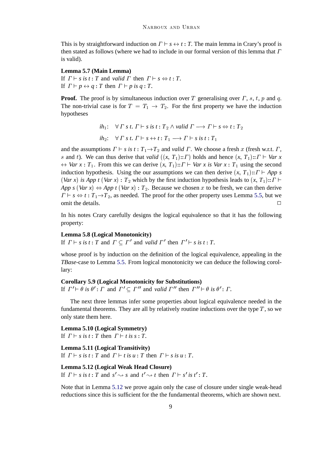This is by straightforward induction on  $\Gamma \vdash s \leftrightarrow t : T$ . The main lemma in Crary's proof is then stated as follows (where we had to include in our formal version of this lemma that  $\Gamma$ is valid).

## **Lemma 5.7 (Main Lemma)**

If  $\Gamma \vdash s$  is  $t : T$  and *valid*  $\Gamma$  then  $\Gamma \vdash s \Leftrightarrow t : T$ . If  $\Gamma \vdash p \leftrightarrow q : T$  then  $\Gamma \vdash p$  is  $q : T$ .

**Proof.** The proof is by simultaneous induction over T generalising over  $\Gamma$ , s, t, p and q. The non-trivial case is for  $T = T_1 \rightarrow T_2$ . For the first property we have the induction hypotheses

> *ih*<sub>1</sub>:  $\forall \Gamma \text{ s } t$ .  $\Gamma \vdash s \text{ is } t : T_2 \land \text{valid } \Gamma \longrightarrow \Gamma \vdash s \Leftrightarrow t : T_2$ *ih*<sub>2</sub>:  $\forall \Gamma \ s \ t \colon \Gamma \vdash s \leftrightarrow t \colon T_1 \longrightarrow \Gamma \vdash s \ \text{is} \ t \colon T_1$

and the assumptions  $\Gamma \vdash s$  is  $t : T_1 \rightarrow T_2$  and *valid*  $\Gamma$ . We choose a fresh x (fresh w.r.t.  $\Gamma$ , s and t). We can thus derive that *valid*  $((x, T_1) :: \Gamma)$  holds and hence  $(x, T_1) :: \Gamma \vdash \text{Var } x$  $\leftrightarrow$  *Var x* : *T*<sub>1</sub>. From this we can derive  $(x, T_1)$ ::  $\Gamma \vdash \text{Var } x$  is *Var x* : *T*<sub>1</sub> using the second induction hypothesis. Using the our assumptions we can then derive  $(x, T_1)$ ::  $\Gamma \vdash App \ s$ (*Var x*) *is App t* (*Var x*) :  $T_2$  which by the first induction hypothesis leads to  $(x, T_1)$ ::  $\Gamma$   $\vdash$ *App s* (*Var x*)  $\Leftrightarrow$  *App t* (*Var x*) : *T*<sub>2</sub>. Because we chosen x to be fresh, we can then derive  $\Gamma \vdash s \Leftrightarrow t : T_1 \rightarrow T_2$ , as needed. The proof for the other property uses Lemma 5.5, but we omit the details.  $\Box$ 

In his notes Crary carefully designs the logical equivalence so that it has the following property:

#### **Lemma 5.8 (Logical Monotonicity)**

If  $\Gamma \vdash s$  is  $t : T$  and  $\Gamma \subseteq \Gamma'$  and valid  $\Gamma'$  then  $\Gamma' \vdash s$  is  $t : T$ .

whose proof is by induction on the definition of the logical equivalence, appealing in the *TBase*-case to Lemma 5.5. From logical monotonicity we can deduce the following corollary:

#### **Corollary 5.9 (Logical Monotonicity for Substitutions)**

If  $\Gamma' \vdash \theta$  is  $\theta' : \Gamma$  and  $\Gamma' \subseteq \Gamma''$  and valid  $\Gamma''$  then  $\Gamma'' \vdash \theta$  is  $\theta' : \Gamma$ .

The next three lemmas infer some properties about logical equivalence needed in the fundamental theorems. They are all by relatively routine inductions over the type  $T$ , so we only state them here.

#### **Lemma 5.10 (Logical Symmetry)**

If  $\Gamma \vdash s$  is  $t : T$  then  $\Gamma \vdash t$  is  $s : T$ .

**Lemma 5.11 (Logical Transitivity)** If  $\Gamma \vdash s$  is  $t : T$  and  $\Gamma \vdash t$  is  $u : T$  then  $\Gamma \vdash s$  is  $u : T$ .

## **Lemma 5.12 (Logical Weak Head Closure)**

If  $\Gamma \vdash s$  is  $t : T$  and  $s' \leadsto s$  and  $t' \leadsto t$  then  $\Gamma \vdash s'$  is  $t' : T$ .

Note that in Lemma 5.12 we prove again only the case of closure under single weak-head reductions since this is sufficient for the the fundamental theorems, which are shown next.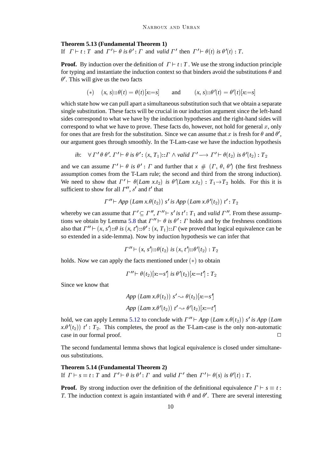#### **Theorem 5.13 (Fundamental Theorem 1)**

If  $\Gamma \vdash t : T$  and  $\Gamma' \vdash \theta$  is  $\theta' : T$  and valid  $\Gamma'$  then  $\Gamma' \vdash \theta(t)$  is  $\theta'(t) : T$ .

**Proof.** By induction over the definition of  $T \vdash t : T$ . We use the strong induction principle for typing and instantiate the induction context so that binders avoid the substitutions  $\theta$  and  $\theta'$ . This will give us the two facts

$$
(*) \quad (x, s) :: \theta(t) = \theta(t)[x := s] \quad \text{and} \quad (x, s) :: \theta'(t) = \theta'(t)[x := s]
$$

which state how we can pull apart a simultaneous substitution such that we obtain a separate single substitution. These facts will be crucial in our induction argument since the left-hand sides correspond to what we have by the induction hypotheses and the right-hand sides will correspond to what we have to prove. These facts do, however, not hold for general  $x$ , only for ones that are fresh for the substitution. Since we can assume that x is fresh for  $\theta$  and  $\theta'$ , our argument goes through smoothly. In the T-Lam-case we have the induction hypothesis

*ih*: 
$$
\forall \Gamma' \theta \theta'.
$$
  $\Gamma' \vdash \theta$  *is*  $\theta': (x, T_1): \Gamma \wedge valid \Gamma' \longrightarrow \Gamma' \vdash \theta(t_2)$  *is*  $\theta'(t_2): T_2$ 

and we can assume  $\Gamma' \vdash \theta$  is  $\theta' : \Gamma$  and further that  $x \# (\Gamma, \theta, \theta')$  (the first freshness assumption comes from the T-Lam rule; the second and third from the strong induction). We need to show that  $\Gamma' \vdash \theta(Lam \ x.t_2)$  is  $\theta'(Lam \ x.t_2)$ :  $T_1 \rightarrow T_2$  holds. For this it is sufficient to show for all  $\Gamma''$ , s' and t' that

$$
\Gamma'' \vdash App \ (Lam\ x.\theta(t_2))\ s'\ is\ App \ (Lam\ x.\theta'(t_2))\ t':\ T_2
$$

whereby we can assume that  $\Gamma' \subseteq \Gamma''$ ,  $\Gamma'' \vdash s'$  *is t'* :  $T_1$  and *valid*  $\Gamma''$ . From these assumptions we obtain by Lemma 5.8 that  $\Gamma'' \vdash \theta$  is  $\theta' : \Gamma$  holds and by the freshness conditions also that  $\Gamma'' \vdash (x, s') :: \theta$  is  $(x, t') :: \theta' : (x, T_1) :: \Gamma$  (we proved that logical equivalence can be so extended in a side-lemma). Now by induction hypothesis we can infer that

$$
\Gamma'' \vdash (x, s') :: \theta(t_2) \text{ is } (x, t') :: \theta'(t_2) : T_2
$$

holds. Now we can apply the facts mentioned under  $(*)$  to obtain

$$
\Gamma'' \vdash \theta(t_2)[x:=s'] \text{ is } \theta'(t_2)[x:=t'] : T_2
$$

Since we know that

$$
App (Lam x. \theta(t_2)) s' \rightsquigarrow \theta(t_2)[x:=s']
$$
  
App 
$$
(Lam x. \theta'(t_2)) t' \rightsquigarrow \theta'(t_2)[x:=t']
$$

hold, we can apply Lemma 5.12 to conclude with  $\Gamma'' \vdash App \ (Lam \ x.\theta(t_2)) s'$  *is App* (*Lam*  $x.\theta'(t_2)$ )  $t'$ :  $T_2$ . This completes, the proof as the T-Lam-case is the only non-automatic case in our formal proof.

The second fundamental lemma shows that logical equivalence is closed under simultaneous substitutions.

## **Theorem 5.14 (Fundamental Theorem 2)** If  $\Gamma \vdash s \equiv t : T$  and  $\Gamma' \vdash \theta$  is  $\theta' : \Gamma$  and *valid*  $\Gamma'$  then  $\Gamma' \vdash \theta(s)$  is  $\theta'(t) : T$ .

**Proof.** By strong induction over the definition of the definitional equivalence  $\Gamma \vdash s \equiv t$ : *T*. The induction context is again instantiated with  $\theta$  and  $\theta'$ . There are several interesting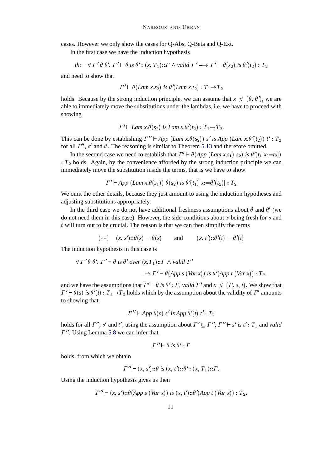cases. However we only show the cases for Q-Abs, Q-Beta and Q-Ext.

In the first case we have the induction hypothesis

*ih*: 
$$
\forall \Gamma' \theta \theta'.
$$
  $\Gamma' \vdash \theta$  is  $\theta': (x, T_1): \Gamma \wedge valid \Gamma' \longrightarrow \Gamma' \vdash \theta(s_2)$  is  $\theta'(t_2): T_2$ 

and need to show that

$$
\Gamma' \vdash \theta(Lam\ x.s_2) \ \text{is} \ \theta'(Lam\ x.t_2) : T_1 \rightarrow T_2
$$

holds. Because by the strong induction principle, we can assume that  $x \# (\theta, \theta')$ , we are able to immediately move the substitutions under the lambdas, i.e. we have to proceed with showing

$$
\Gamma' \vdash \textit{Lam } x. \theta(s_2) \text{ is } \textit{Lam } x. \theta'(t_2) : T_1 \rightarrow T_2.
$$

This can be done by establishing  $\Gamma'' \vdash App \ (Lam \ x.\theta(s_2)) \ s' \ is \ App \ (Lam \ x.\theta'(t_2)) \ t' : T_2$ for all  $\Gamma''$ , s' and t'. The reasoning is similar to Theorem 5.13 and therefore omitted.

In the second case we need to establish that  $\Gamma' \vdash \theta (App (Lam x.s_1) s_2)$  *is*  $\theta'(t_1[x:=t_2])$  $: T<sub>2</sub>$  holds. Again, by the convenience afforded by the strong induction principle we can immediately move the substitution inside the terms, that is we have to show

$$
\Gamma' \vdash App \ (Lam\ x.\ \theta(s_1))\ \theta(s_2) \ \text{is} \ \theta'(t_1)[x:=\theta'(t_2)] : T_2
$$

We omit the other details, because they just amount to using the induction hypotheses and adjusting substitutions appropriately.

In the third case we do not have additional freshness assumptions about  $\theta$  and  $\theta'$  (we do not need them in this case). However, the side-conditions about x being fresh for s and  $t$  will turn out to be crucial. The reason is that we can then simplify the terms

$$
(**) \quad (x, s')::\theta(s) = \theta(s) \quad \text{and} \quad (x, t')::\theta'(t) = \theta'(t)
$$

The induction hypothesis in this case is

$$
\forall \Gamma' \theta \theta'. \Gamma' \vdash \theta \text{ is } \theta' \text{ over } (x,T_1) :: \Gamma \wedge \text{valid } \Gamma'
$$
  

$$
\longrightarrow \Gamma' \vdash \theta(\text{App } s (\text{Var } x)) \text{ is } \theta'(\text{App } t (\text{Var } x)) :: T_2.
$$

and we have the assumptions that  $\Gamma' \vdash \theta$  is  $\theta' : \Gamma$ , valid  $\Gamma'$  and  $x \# (\Gamma, s, t)$ . We show that  $\Gamma' \vdash \theta(s)$  is  $\theta'(t) : T_1 \rightarrow T_2$  holds which by the assumption about the validity of  $\Gamma'$  amounts to showing that

$$
\Gamma'' \vdash App \theta(s) \ s' \ is \ App \theta'(t) \ t': T_2
$$

holds for all  $\Gamma''$ , s' and t', using the assumption about  $\Gamma' \subseteq \Gamma''$ ,  $\Gamma'' \vdash s'$  is t':  $T_1$  and *valid*  $\Gamma$ ". Using Lemma 5.8 we can infer that

$$
\Gamma'' \vdash \theta \text{ is } \theta' : \Gamma
$$

holds, from which we obtain

$$
\Gamma'' \vdash (x, s') :: \theta \text{ is } (x, t') :: \theta' : (x, T_1) :: \Gamma.
$$

Using the induction hypothesis gives us then

$$
\Gamma'' \vdash (x, s') : \theta (App \, s \, (Var \, x)) \, \text{ is } (x, t') : \theta' (App \, t \, (Var \, x)) : T_2.
$$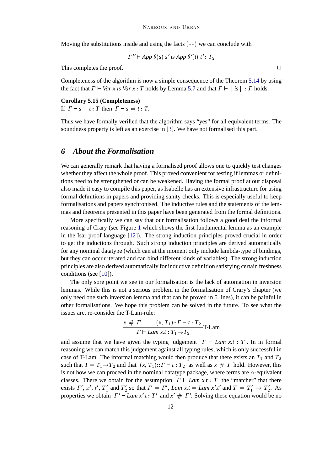Moving the substitutions inside and using the facts  $(**)$  we can conclude with

$$
\Gamma'' \vdash App \theta(s) \ s' \ is \ App \theta'(t) \ t' : T_2
$$

This completes the proof.  $\Box$ 

Completeness of the algorithm is now a simple consequence of the Theorem 5.14 by using the fact that  $\Gamma \vdash \text{Var } x$  is  $\text{Var } x : T$  holds by Lemma 5.7 and that  $\Gamma \vdash ||$  is  $|| : \Gamma$  holds.

## **Corollary 5.15 (Completeness)**

If  $\Gamma \vdash s \equiv t : T$  then  $\Gamma \vdash s \Leftrightarrow t : T$ .

Thus we have formally verified that the algorithm says "yes" for all equivalent terms. The soundness property is left as an exercise in [3]. We have not formalised this part.

## *6 About the Formalisation*

We can generally remark that having a formalised proof allows one to quickly test changes whether they affect the whole proof. This proved convenient for testing if lemmas or definitions need to be strengthened or can be weakened. Having the formal proof at our disposal also made it easy to compile this paper, as Isabelle has an extensive infrastructure for using formal definitions in papers and providing sanity checks. This is especially useful to keep formalisations and papers synchronised. The inductive rules and the statements of the lemmas and theorems presented in this paper have been generated from the formal definitions.

More specifically we can say that our formalisation follows a good deal the informal reasoning of Crary (see Figure 1 which shows the first fundamental lemma as an example in the Isar proof language [12]). The strong induction principles proved crucial in order to get the inductions through. Such strong induction principles are derived automatically for any nominal datatype (which can at the moment only include lambda-type of bindings, but they can occur iterated and can bind different kinds of variables). The strong induction principles are also derived automatically for inductive definition satisfying certain freshness conditions (see [10]).

The only sore point we see in our formalisation is the lack of automation in inversion lemmas. While this is not a serious problem in the formalisation of Crary's chapter (we only need one such inversion lemma and that can be proved in 5 lines), it can be painful in other formalisations. We hope this problem can be solved in the future. To see what the issues are, re-consider the T-Lam-rule:

$$
\frac{x \# \Gamma}{\Gamma \vdash Lam \ x.t : T_1 \rightarrow T_2} \text{T-Lam}
$$

and assume that we have given the typing judgement  $\Gamma \vdash Lam \; x.t : T$ . In in formal reasoning we can match this judgement against all typing rules, which is only successful in case of T-Lam. The informal matching would then produce that there exists an  $T_1$  and  $T_2$ such that  $T = T_1 \rightarrow T_2$  and that  $(x, T_1): T \vdash t : T_2$  as well as  $x \# T$  hold. However, this is not how we can proceed in the nominal datatype package, where terms are  $\alpha$ -equivalent classes. There we obtain for the assumption  $\Gamma \vdash Lam \ x.t : T$  the "matcher" that there exists  $\Gamma'$ , x', t',  $T'_1$  and  $T'_2$  so that  $\Gamma = \Gamma'$ , *Lam x.t* = *Lam x'.t'* and  $T = T'_1 \rightarrow T'_2$ . As properties we obtain  $\Gamma' \vdash Lam x'.t : T'$  and  $x' \# T'$ . Solving these equation would be no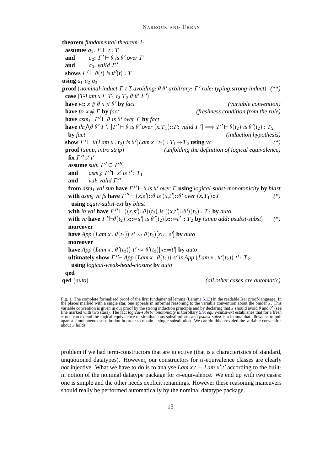**theorem** *fundamental-theorem-1*: **assumes**  $a_1$ :  $\Gamma \vdash t : T$ **and**  $a_2$ :  $\Gamma' \vdash \theta$  is  $\theta'$  over  $\Gamma$ **and**  $a_3$ : *valid*  $\Gamma'$ **shows**  $\Gamma' \vdash \theta(t)$  *is*  $\theta'(t) : T$ **using**  $a_1$   $a_2$   $a_3$ **proof** (*nominal-induct*  $\Gamma$  *t*  $T$  *avoiding*:  $\theta$   $\theta$ <sup>*'*</sup> arbitrary:  $\Gamma$ <sup>'</sup> rule: *typing.strong-induct*) (\*\*) **case**  $(T$ -Lam x  $\Gamma$   $T_1$   $t_2$   $T_2$   $\theta$   $\theta'$   $\Gamma'$ ) **have**  $vc: x \# \theta x \# \theta'$  **by** *fact (variable convention)* **have**  $f_s$ :  $x \# \Gamma$  **by**  $fact$  (freshness condition from the rule) **have**  $\lim_{m \to \infty} \int T' \neq \theta$  is  $\theta'$  over  $\Gamma$  **by** fact **have** ih:  $\bigwedge \theta \theta' \Gamma'$ .  $[\Gamma' \vdash \theta \text{ is } \theta' \text{ over } (x,T_1) :: \Gamma; \text{ valid } \Gamma'] \Longrightarrow \Gamma' \vdash \theta(t_2) \text{ is } \theta'(t_2) : T_2$ **by** *fact* (*induction hypothesis*) **show**  $\Gamma' \vdash \theta (Lam \ x \cdot t_2)$  *is*  $\theta' (Lam \ x \cdot t_2) : T_1 \rightarrow T_2$  **using** *vc* (\*) **proof** (*simp*; *intro strip*) *(unfolding the definition of logical equivalence)* fix  $\overrightarrow{\Gamma}$ <sup>*i*</sup>  $\overrightarrow{s}$ <sup>*t*</sup> $\overrightarrow{t}$ <sup>*t*</sup> **assume** *sub*:  $\Gamma' \subseteq \Gamma''$ **and**  $asm_2: \overline{\Gamma} \to \overline{s} \text{ is } t':T_1$ **and** *val*: *valid*  $\Gamma$ <sup>*"*</sup> **from**  $asm_1$  *val sub* **have**  $\Gamma'' \vdash \theta$  *is*  $\theta'$  *over*  $\Gamma$  **using** *logical-subst-monotonicity* by *blast* with  $asm_2$   $vc$  fs have  $\Gamma'' \vdash (x,s') :: \theta$  is  $(x,t') :: \theta'$  over  $(x,T_1) :: \Gamma$  (\*) **using** *equiv-subst-ext* **by** *blast* with *ih val* have  $\Gamma'' \vdash ((x,s')::\theta)(t_2)$  *is*  $((x,t')::\theta')(t_2): T_2$  by *auto* with *vc* have  $\Gamma'' \vdash \theta(t_2)[x::=s']$  is  $\theta'(t_2)[x::=t']$  :  $T_2$  by (simp add: psubst-subst) (\*) **moreover have** *App* (*Lam x .*  $\theta(t_2)$ )  $s' \rightarrow \theta(t_2)[x:=s']$  **by** *auto* **moreover have** *App*  $(Lam x. \theta'(t_2)) t' \sim \theta'(t_2)[x:=t']$  by *auto* **ultimately show**  $\Gamma'' \vdash App \ (Lam \ x \ . \ \theta(t_2)) \ s' \ is \ App \ (Lam \ x \ . \ \theta'(t_2)) \ t' : T_2$ **using** *logical-weak-head-closure* **by** *auto* **qed qed** (*auto*) *(all other cases are automatic)*

problem if we had term-constructors that are injective (that is a characteristics of standard, unquotioned datatypes). However, our constructors for  $\alpha$ -equivalence classes are clearly *not* injective. What we have to do is to analyse *Lam x.t* = *Lam x'*.t' according to the builtin notion of the nominal datatype package for  $\alpha$ -equivalence. We end up with two cases: one is simple and the other needs explicit renamings. However these reasoning maneuvers should really be performed automatically by the nominal datatype package.

Fig. 1. The complete formalised proof of the first fundamental lemma (Lemma 5.13) in the readable Isar proof-language. In the places marked with a single star, one appeals in informal reasoning to the variable convention about the binder  $x$ . This variable convention is given in our proof by the strong induction principle and by declaring that x should avoid  $\theta$  and  $\theta'$  (see line marked with two stars). The fact *logical-subst-monotonicity* is Corollary 5.9; *equiv-subst-ext* establishes that for a fresh  $x$  one can extend the logical equivalence of simultaneous substitutions; and *psubst-sub* apart a simultaneous substitution in order to obtain a single substitution. We can do this provided the variable convention about x holds.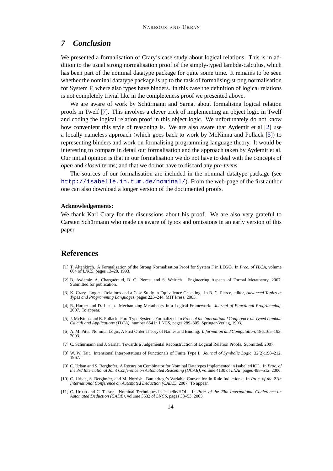# *7 Conclusion*

We presented a formalisation of Crary's case study about logical relations. This is in addition to the usual strong normalisation proof of the simply-typed lambda-calculus, which has been part of the nominal datatype package for quite some time. It remains to be seen whether the nominal datatype package is up to the task of formalising strong normalisation for System F, where also types have binders. In this case the definition of logical relations is not completely trivial like in the completeness proof we presented above.

We are aware of work by Schürmann and Sarnat about formalising logical relation proofs in Twelf [7]. This involves a clever trick of implementing an object logic in Twelf and coding the logical relation proof in this object logic. We unfortunately do not know how convenient this style of reasoning is. We are also aware that Aydemir et al [2] use a locally nameless approach (which goes back to work by McKinna and Pollack [5]) to representing binders and work on formalising programming language theory. It would be interesting to compare in detail our formalisation and the approach taken by Aydemir et al. Our initial opinion is that in our formalisation we do not have to deal with the concepts of *open* and *closed* terms; and that we do not have to discard any *pre-terms*.

The sources of our formalisation are included in the nominal datatype package (see <http://isabelle.in.tum.de/nominal/>). From the web-page of the first author one can also download a longer version of the documented proofs.

#### **Acknowledgements:**

We thank Karl Crary for the discussions about his proof. We are also very grateful to Carsten Schürmann who made us aware of typos and omissions in an early version of this paper.

# **References**

- [1] T. Altenkirch. A Formalization of the Strong Normalisation Proof for System F in LEGO. In *Proc. of TLCA*, volume 664 of *LNCS*, pages 13–28, 1993.
- [2] B. Aydemir, A. Charguéraud, B. C. Pierce, and S. Weirich. Engineering Aspects of Formal Metatheory, 2007. Submitted for publication.
- [3] K. Crary. Logical Relations and a Case Study in Equivalence Checking. In B. C. Pierce, editor, *Advanced Topics in Types and Programming Languages*, pages 223–244. MIT Press, 2005.
- [4] R. Harper and D. Licata. Mechanizing Metatheory in a Logical Framework. *Journal of Functional Programming*, 2007. To appear.
- [5] J. McKinna and R. Pollack. Pure Type Systems Formalized. In *Proc. of the International Conference on Typed Lambda Calculi and Applications (TLCA)*, number 664 in LNCS, pages 289–305. Springer-Verlag, 1993.
- [6] A. M. Pitts. Nominal Logic, A First Order Theory of Names and Binding. *Information and Computation*, 186:165–193, 2003.
- [7] C. Schurmann and J. Sarnat. Towards a Judgemental Reconstruction of Logical Relation Proofs. Submitted, 2007. ¨
- [8] W. W. Tait. Intensional Interpretations of Functionals of Finite Type I. *Journal of Symbolic Logic*, 32(2):198–212, 1967.
- [9] C. Urban and S. Berghofer. A Recursion Combinator for Nominal Datatypes Implemented in Isabelle/HOL. In *Proc. of the 3rd International Joint Conference on Automated Reasoning (IJCAR)*, volume 4130 of *LNAI*, pages 498–512, 2006.
- [10] C. Urban, S. Berghofer, and M. Norrish. Barendregt's Variable Convention in Rule Inductions. In *Proc. of the 21th International Conference on Automated Deduction (CADE)*, 2007. To appear.
- [11] C. Urban and C. Tasson. Nominal Techniques in Isabelle/HOL. In *Proc. of the 20th International Conference on Automated Deduction (CADE)*, volume 3632 of *LNCS*, pages 38–53, 2005.